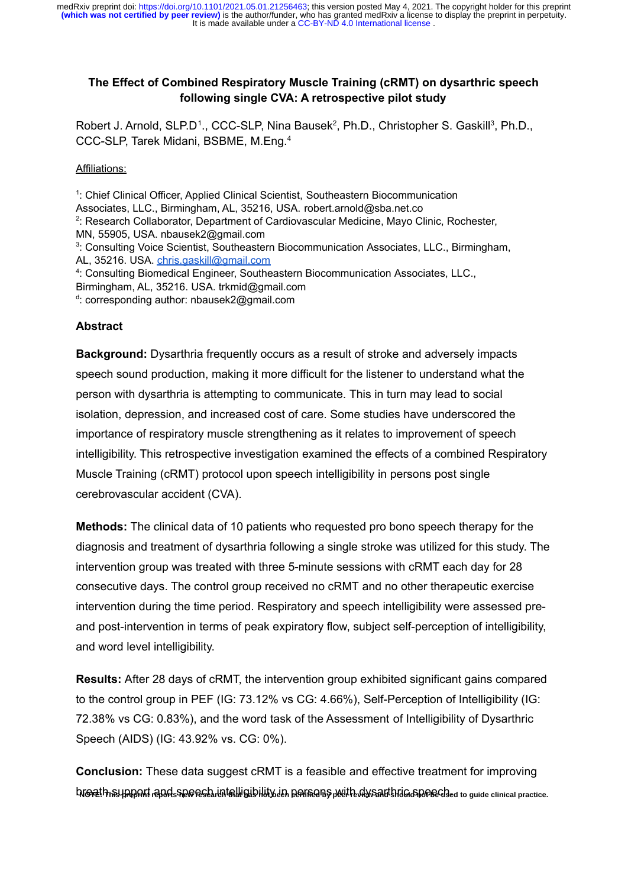# **The Effect of Combined Respiratory Muscle Training (cRMT) on dysarthric speech following single CVA: A retrospective pilot study**

Robert J. Arnold, SLP.D<sup>1</sup>., CCC-SLP, Nina Bausek<sup>2</sup>, Ph.D., Christopher S. Gaskill<sup>3</sup>, Ph.D., CCC-SLP, Tarek Midani, BSBME, M.Eng.<sup>4</sup>

# Affiliations:

<sup>1</sup>: Chief Clinical Officer, Applied Clinical Scientist, Southeastern Biocommunication Associates, LLC., Birmingham, AL, 35216, USA. robert.arnold@sba.net.co 2 : Research Collaborator, Department of Cardiovascular Medicine, Mayo Clinic, Rochester, MN, 55905, USA. nbausek2@gmail.com <sup>3</sup>: Consulting Voice Scientist, Southeastern Biocommunication Associates, LLC., Birmingham, AL, 35216. USA. chris.gaskill@gmail.com 4 : Consulting Biomedical Engineer, Southeastern Biocommunication Associates, LLC., Birmingham, AL, 35216. USA. trkmid@gmail.com <sup>d</sup>: corresponding author: nbausek2@gmail.com

# **Abstract**

**Background:** Dysarthria frequently occurs as a result of stroke and adversely impacts speech sound production, making it more difficult for the listener to understand what the person with dysarthria is attempting to communicate. This in turn may lead to social isolation, depression, and increased cost of care. Some studies have underscored the importance of respiratory muscle strengthening as it relates to improvement of speech intelligibility. This retrospective investigation examined the effects of a combined Respiratory Muscle Training (cRMT) protocol upon speech intelligibility in persons post single cerebrovascular accident (CVA).

**Methods:** The clinical data of 10 patients who requested pro bono speech therapy for the diagnosis and treatment of dysarthria following a single stroke was utilized for this study. The intervention group was treated with three 5-minute sessions with cRMT each day for 28 consecutive days. The control group received no cRMT and no other therapeutic exercise intervention during the time period. Respiratory and speech intelligibility were assessed preand post-intervention in terms of peak expiratory flow, subject self-perception of intelligibility, and word level intelligibility.

**Results:** After 28 days of cRMT, the intervention group exhibited significant gains compared to the control group in PEF (IG: 73.12% vs CG: 4.66%), Self-Perception of Intelligibility (IG: 72.38% vs CG: 0.83%), and the word task of the Assessment of Intelligibility of Dysarthric Speech (AIDS) (IG: 43.92% vs. CG: 0%).

**Conclusion:** These data suggest cRMT is a feasible and effective treatment for improving breath support and speech intelligibility in persons with dysarthric speech. **NOTE: This preprint reports new research that has not been certified by peer review and should not be used to guide clinical practice.**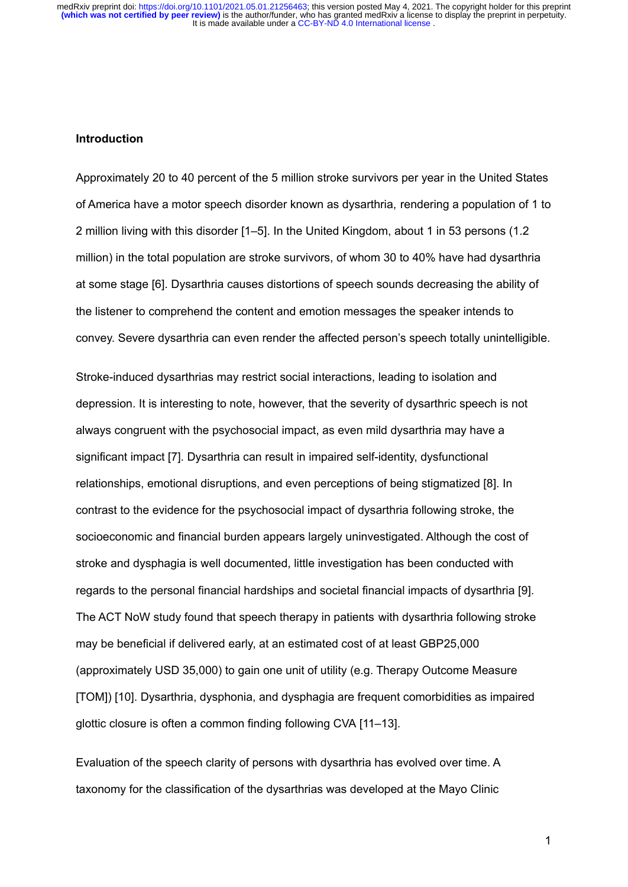It is made available under a CC-BY-ND 4.0 International license. medRxiv preprint doi: https://doi.org/10.1101/2021.05.01.21256463; this version posted May 4, 2021. The copyright holder for this preprint<br>(which was not certified by peer review) is the author/funder, who has granted medR

#### **Introduction**

Approximately 20 to 40 percent of the 5 million stroke survivors per year in the United States of America have a motor speech disorder known as dysarthria, rendering a population of 1 to 2 million living with this disorder [1–5]. In the United Kingdom, about 1 in 53 persons (1.2 million) in the total population are stroke survivors, of whom 30 to 40% have had dysarthria at some stage [6]. Dysarthria causes distortions of speech sounds decreasing the ability of the listener to comprehend the content and emotion messages the speaker intends to convey. Severe dysarthria can even render the affected person's speech totally unintelligible.

Stroke-induced dysarthrias may restrict social interactions, leading to isolation and depression. It is interesting to note, however, that the severity of dysarthric speech is not always congruent with the psychosocial impact, as even mild dysarthria may have a significant impact [7]. Dysarthria can result in impaired self-identity, dysfunctional relationships, emotional disruptions, and even perceptions of being stigmatized [8]. In contrast to the evidence for the psychosocial impact of dysarthria following stroke, the socioeconomic and financial burden appears largely uninvestigated. Although the cost of stroke and dysphagia is well documented, little investigation has been conducted with regards to the personal financial hardships and societal financial impacts of dysarthria [9]. The ACT NoW study found that speech therapy in patients with dysarthria following stroke may be beneficial if delivered early, at an estimated cost of at least GBP25,000 (approximately USD 35,000) to gain one unit of utility (e.g. Therapy Outcome Measure [TOM]) [10]. Dysarthria, dysphonia, and dysphagia are frequent comorbidities as impaired glottic closure is often a common finding following CVA [11–13].

Evaluation of the speech clarity of persons with dysarthria has evolved over time. A taxonomy for the classification of the dysarthrias was developed at the Mayo Clinic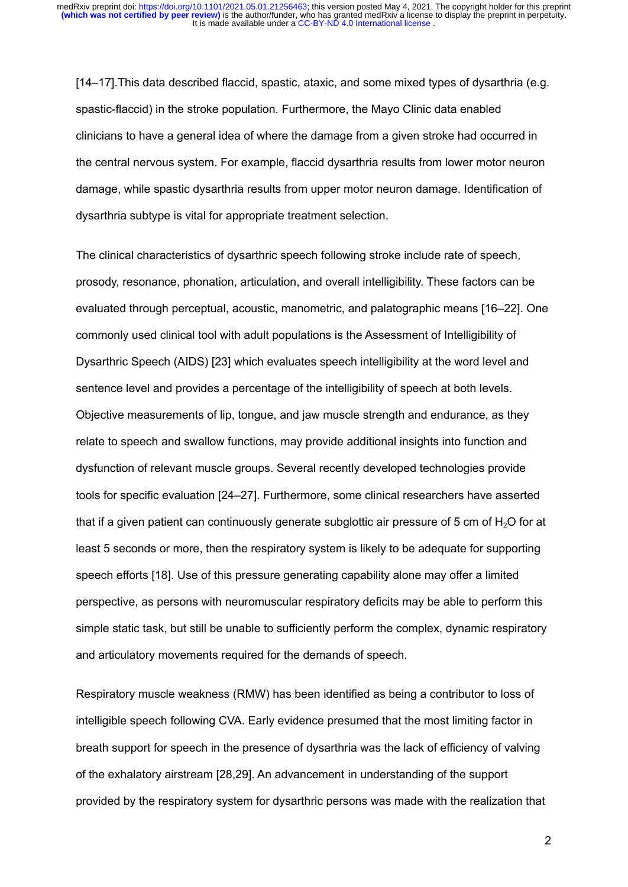[14–17].This data described flaccid, spastic, ataxic, and some mixed types of dysarthria (e.g. spastic-flaccid) in the stroke population. Furthermore, the Mayo Clinic data enabled clinicians to have a general idea of where the damage from a given stroke had occurred in the central nervous system. For example, flaccid dysarthria results from lower motor neuron damage, while spastic dysarthria results from upper motor neuron damage. Identification of dysarthria subtype is vital for appropriate treatment selection.

The clinical characteristics of dysarthric speech following stroke include rate of speech, prosody, resonance, phonation, articulation, and overall intelligibility. These factors can be evaluated through perceptual, acoustic, manometric, and palatographic means [16–22]. One commonly used clinical tool with adult populations is the Assessment of Intelligibility of Dysarthric Speech (AIDS) [23] which evaluates speech intelligibility at the word level and sentence level and provides a percentage of the intelligibility of speech at both levels. Objective measurements of lip, tongue, and jaw muscle strength and endurance, as they relate to speech and swallow functions, may provide additional insights into function and dysfunction of relevant muscle groups. Several recently developed technologies provide tools for specific evaluation [24–27]. Furthermore, some clinical researchers have asserted that if a given patient can continuously generate subglottic air pressure of 5 cm of  $H<sub>2</sub>O$  for at least 5 seconds or more, then the respiratory system is likely to be adequate for supporting speech efforts [18]. Use of this pressure generating capability alone may offer a limited perspective, as persons with neuromuscular respiratory deficits may be able to perform this simple static task, but still be unable to sufficiently perform the complex, dynamic respiratory and articulatory movements required for the demands of speech.

Respiratory muscle weakness (RMW) has been identified as being a contributor to loss of intelligible speech following CVA. Early evidence presumed that the most limiting factor in breath support for speech in the presence of dysarthria was the lack of efficiency of valving of the exhalatory airstream [28,29]. An advancement in understanding of the support provided by the respiratory system for dysarthric persons was made with the realization that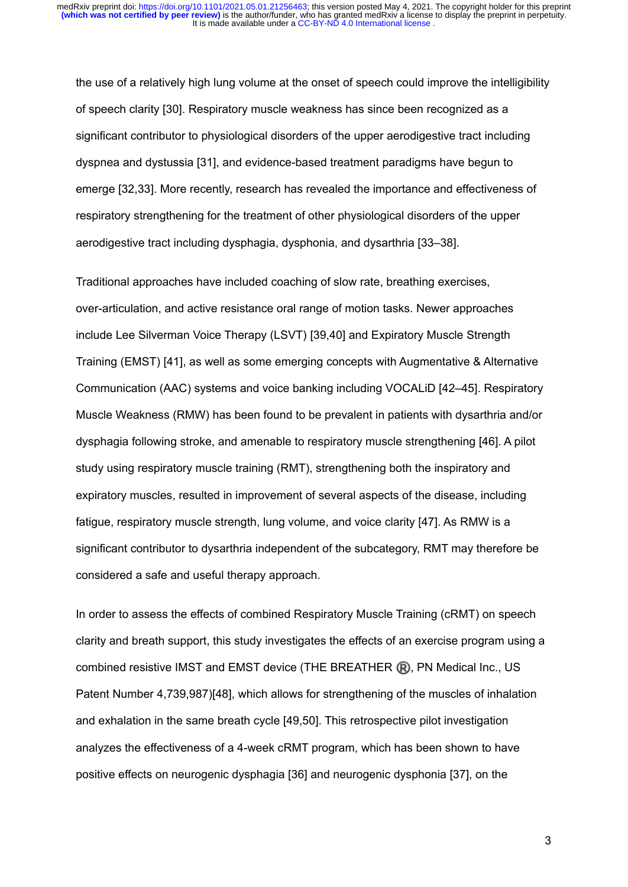the use of a relatively high lung volume at the onset of speech could improve the intelligibility of speech clarity [30]. Respiratory muscle weakness has since been recognized as a significant contributor to physiological disorders of the upper aerodigestive tract including dyspnea and dystussia [31], and evidence-based treatment paradigms have begun to emerge [32,33]. More recently, research has revealed the importance and effectiveness of respiratory strengthening for the treatment of other physiological disorders of the upper aerodigestive tract including dysphagia, dysphonia, and dysarthria [33–38].

Traditional approaches have included coaching of slow rate, breathing exercises, over-articulation, and active resistance oral range of motion tasks. Newer approaches include Lee Silverman Voice Therapy (LSVT) [39,40] and Expiratory Muscle Strength Training (EMST) [41], as well as some emerging concepts with Augmentative & Alternative Communication (AAC) systems and voice banking including VOCALiD [42–45]. Respiratory Muscle Weakness (RMW) has been found to be prevalent in patients with dysarthria and/or dysphagia following stroke, and amenable to respiratory muscle strengthening [46]. A pilot study using respiratory muscle training (RMT), strengthening both the inspiratory and expiratory muscles, resulted in improvement of several aspects of the disease, including fatigue, respiratory muscle strength, lung volume, and voice clarity [47]. As RMW is a significant contributor to dysarthria independent of the subcategory, RMT may therefore be considered a safe and useful therapy approach.

In order to assess the effects of combined Respiratory Muscle Training (cRMT) on speech clarity and breath support, this study investigates the effects of an exercise program using a combined resistive IMST and EMST device (THE BREATHER **R**), PN Medical Inc., US Patent Number 4,739,987)[48], which allows for strengthening of the muscles of inhalation and exhalation in the same breath cycle [49,50]. This retrospective pilot investigation analyzes the effectiveness of a 4-week cRMT program, which has been shown to have positive effects on neurogenic dysphagia [36] and neurogenic dysphonia [37], on the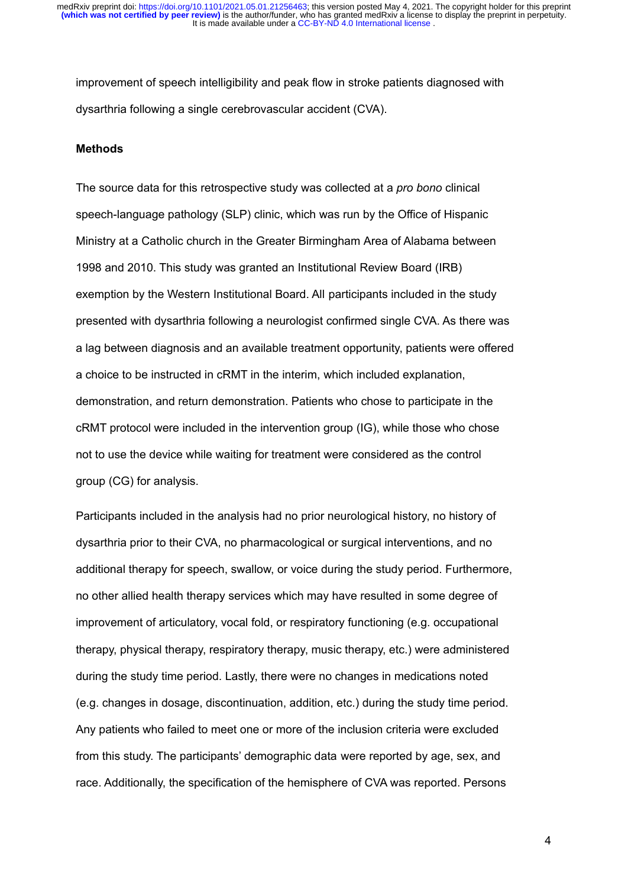improvement of speech intelligibility and peak flow in stroke patients diagnosed with dysarthria following a single cerebrovascular accident (CVA).

#### **Methods**

The source data for this retrospective study was collected at a *pro bono* clinical speech-language pathology (SLP) clinic, which was run by the Office of Hispanic Ministry at a Catholic church in the Greater Birmingham Area of Alabama between 1998 and 2010. This study was granted an Institutional Review Board (IRB) exemption by the Western Institutional Board. All participants included in the study presented with dysarthria following a neurologist confirmed single CVA. As there was a lag between diagnosis and an available treatment opportunity, patients were offered a choice to be instructed in cRMT in the interim, which included explanation, demonstration, and return demonstration. Patients who chose to participate in the cRMT protocol were included in the intervention group (IG), while those who chose not to use the device while waiting for treatment were considered as the control group (CG) for analysis.

Participants included in the analysis had no prior neurological history, no history of dysarthria prior to their CVA, no pharmacological or surgical interventions, and no additional therapy for speech, swallow, or voice during the study period. Furthermore, no other allied health therapy services which may have resulted in some degree of improvement of articulatory, vocal fold, or respiratory functioning (e.g. occupational therapy, physical therapy, respiratory therapy, music therapy, etc.) were administered during the study time period. Lastly, there were no changes in medications noted (e.g. changes in dosage, discontinuation, addition, etc.) during the study time period. Any patients who failed to meet one or more of the inclusion criteria were excluded from this study. The participants' demographic data were reported by age, sex, and race. Additionally, the specification of the hemisphere of CVA was reported. Persons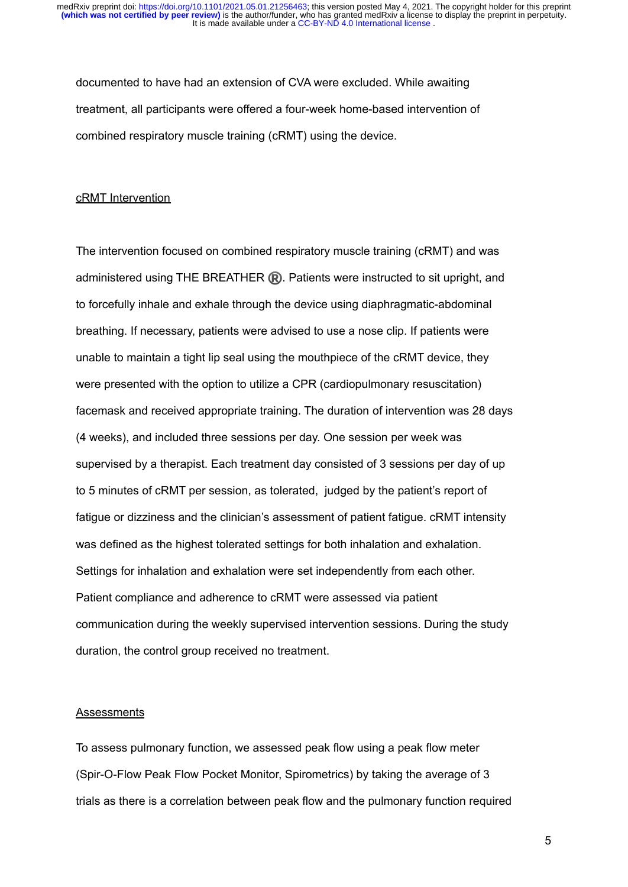documented to have had an extension of CVA were excluded. While awaiting treatment, all participants were offered a four-week home-based intervention of combined respiratory muscle training (cRMT) using the device.

#### cRMT Intervention

The intervention focused on combined respiratory muscle training (cRMT) and was administered using THE BREATHER  $\mathbb R$ . Patients were instructed to sit upright, and to forcefully inhale and exhale through the device using diaphragmatic-abdominal breathing. If necessary, patients were advised to use a nose clip. If patients were unable to maintain a tight lip seal using the mouthpiece of the cRMT device, they were presented with the option to utilize a CPR (cardiopulmonary resuscitation) facemask and received appropriate training. The duration of intervention was 28 days (4 weeks), and included three sessions per day. One session per week was supervised by a therapist. Each treatment day consisted of 3 sessions per day of up to 5 minutes of cRMT per session, as tolerated, judged by the patient's report of fatigue or dizziness and the clinician's assessment of patient fatigue. cRMT intensity was defined as the highest tolerated settings for both inhalation and exhalation. Settings for inhalation and exhalation were set independently from each other. Patient compliance and adherence to cRMT were assessed via patient communication during the weekly supervised intervention sessions. During the study duration, the control group received no treatment.

#### **Assessments**

To assess pulmonary function, we assessed peak flow using a peak flow meter (Spir-O-Flow Peak Flow Pocket Monitor, Spirometrics) by taking the average of 3 trials as there is a correlation between peak flow and the pulmonary function required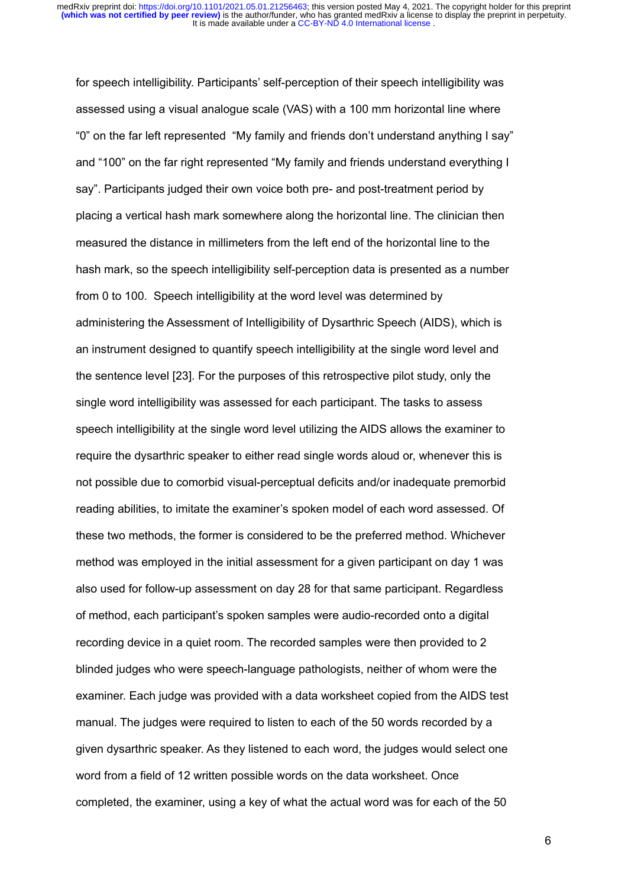for speech intelligibility. Participants' self-perception of their speech intelligibility was assessed using a visual analogue scale (VAS) with a 100 mm horizontal line where "0" on the far left represented "My family and friends don't understand anything I say" and "100" on the far right represented "My family and friends understand everything I say". Participants judged their own voice both pre- and post-treatment period by placing a vertical hash mark somewhere along the horizontal line. The clinician then measured the distance in millimeters from the left end of the horizontal line to the hash mark, so the speech intelligibility self-perception data is presented as a number from 0 to 100. Speech intelligibility at the word level was determined by administering the Assessment of Intelligibility of Dysarthric Speech (AIDS), which is an instrument designed to quantify speech intelligibility at the single word level and the sentence level [23]. For the purposes of this retrospective pilot study, only the single word intelligibility was assessed for each participant. The tasks to assess speech intelligibility at the single word level utilizing the AIDS allows the examiner to require the dysarthric speaker to either read single words aloud or, whenever this is not possible due to comorbid visual-perceptual deficits and/or inadequate premorbid reading abilities, to imitate the examiner's spoken model of each word assessed. Of these two methods, the former is considered to be the preferred method. Whichever method was employed in the initial assessment for a given participant on day 1 was also used for follow-up assessment on day 28 for that same participant. Regardless of method, each participant's spoken samples were audio-recorded onto a digital recording device in a quiet room. The recorded samples were then provided to 2 blinded judges who were speech-language pathologists, neither of whom were the examiner. Each judge was provided with a data worksheet copied from the AIDS test manual. The judges were required to listen to each of the 50 words recorded by a given dysarthric speaker. As they listened to each word, the judges would select one word from a field of 12 written possible words on the data worksheet. Once completed, the examiner, using a key of what the actual word was for each of the 50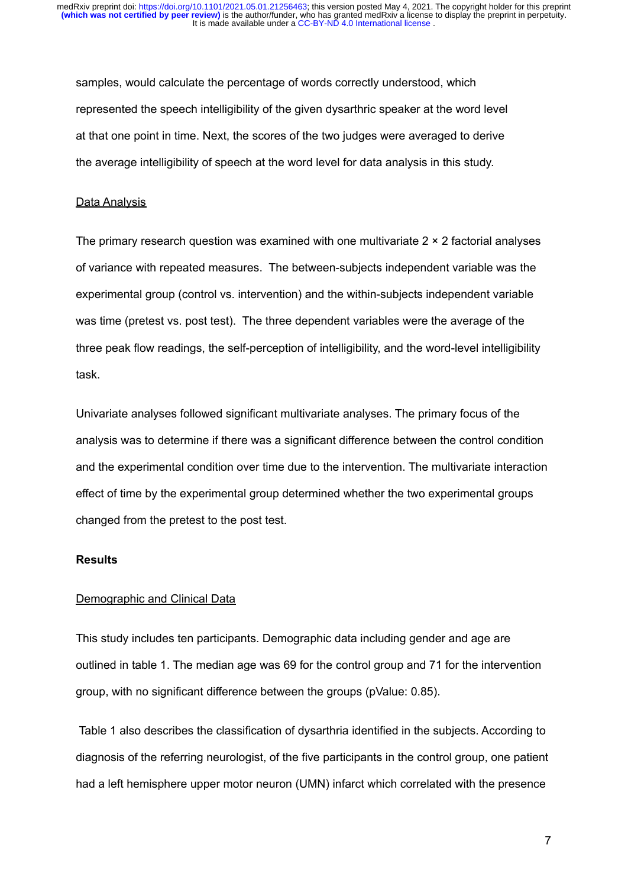samples, would calculate the percentage of words correctly understood, which represented the speech intelligibility of the given dysarthric speaker at the word level at that one point in time. Next, the scores of the two judges were averaged to derive the average intelligibility of speech at the word level for data analysis in this study.

#### Data Analysis

The primary research question was examined with one multivariate  $2 \times 2$  factorial analyses of variance with repeated measures. The between-subjects independent variable was the experimental group (control vs. intervention) and the within-subjects independent variable was time (pretest vs. post test). The three dependent variables were the average of the three peak flow readings, the self-perception of intelligibility, and the word-level intelligibility task.

Univariate analyses followed significant multivariate analyses. The primary focus of the analysis was to determine if there was a significant difference between the control condition and the experimental condition over time due to the intervention. The multivariate interaction effect of time by the experimental group determined whether the two experimental groups changed from the pretest to the post test.

#### **Results**

# Demographic and Clinical Data

This study includes ten participants. Demographic data including gender and age are outlined in table 1. The median age was 69 for the control group and 71 for the intervention group, with no significant difference between the groups (pValue: 0.85).

Table 1 also describes the classification of dysarthria identified in the subjects. According to diagnosis of the referring neurologist, of the five participants in the control group, one patient had a left hemisphere upper motor neuron (UMN) infarct which correlated with the presence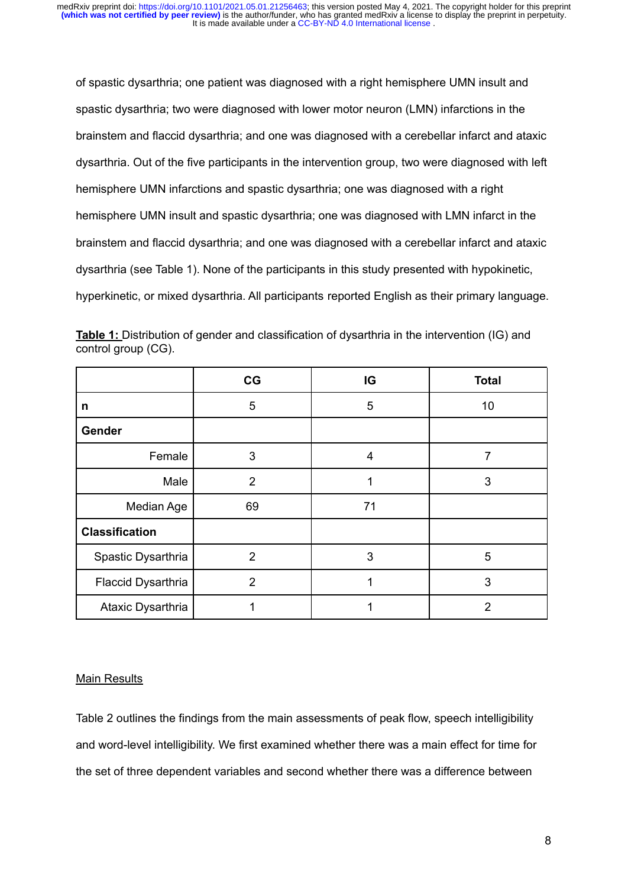of spastic dysarthria; one patient was diagnosed with a right hemisphere UMN insult and spastic dysarthria; two were diagnosed with lower motor neuron (LMN) infarctions in the brainstem and flaccid dysarthria; and one was diagnosed with a cerebellar infarct and ataxic dysarthria. Out of the five participants in the intervention group, two were diagnosed with left hemisphere UMN infarctions and spastic dysarthria; one was diagnosed with a right hemisphere UMN insult and spastic dysarthria; one was diagnosed with LMN infarct in the brainstem and flaccid dysarthria; and one was diagnosed with a cerebellar infarct and ataxic dysarthria (see Table 1). None of the participants in this study presented with hypokinetic, hyperkinetic, or mixed dysarthria. All participants reported English as their primary language.

|                     |  | Table 1: Distribution of gender and classification of dysarthria in the intervention (IG) and |  |  |
|---------------------|--|-----------------------------------------------------------------------------------------------|--|--|
| control group (CG). |  |                                                                                               |  |  |

|                       | CG             | IG | <b>Total</b>   |
|-----------------------|----------------|----|----------------|
| n                     | 5              | 5  | 10             |
| Gender                |                |    |                |
| Female                | 3              | 4  | 7              |
| Male                  | $\overline{2}$ | 1  | 3              |
| <b>Median Age</b>     | 69             | 71 |                |
| <b>Classification</b> |                |    |                |
| Spastic Dysarthria    | 2              | 3  | 5              |
| Flaccid Dysarthria    | $\overline{2}$ |    | 3              |
| Ataxic Dysarthria     |                |    | $\overline{2}$ |

# Main Results

Table 2 outlines the findings from the main assessments of peak flow, speech intelligibility and word-level intelligibility. We first examined whether there was a main effect for time for the set of three dependent variables and second whether there was a difference between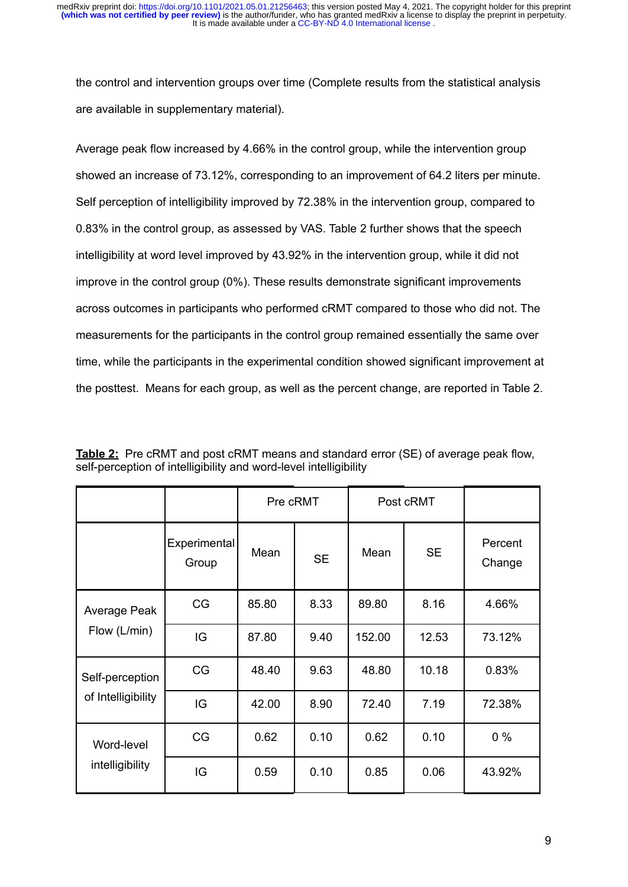the control and intervention groups over time (Complete results from the statistical analysis are available in supplementary material).

Average peak flow increased by 4.66% in the control group, while the intervention group showed an increase of 73.12%, corresponding to an improvement of 64.2 liters per minute. Self perception of intelligibility improved by 72.38% in the intervention group, compared to 0.83% in the control group, as assessed by VAS. Table 2 further shows that the speech intelligibility at word level improved by 43.92% in the intervention group, while it did not improve in the control group (0%). These results demonstrate significant improvements across outcomes in participants who performed cRMT compared to those who did not. The measurements for the participants in the control group remained essentially the same over time, while the participants in the experimental condition showed significant improvement at the posttest. Means for each group, as well as the percent change, are reported in Table 2.

|                    |                       | Pre cRMT |           | Post cRMT |           |                   |
|--------------------|-----------------------|----------|-----------|-----------|-----------|-------------------|
|                    | Experimental<br>Group | Mean     | <b>SE</b> | Mean      | <b>SE</b> | Percent<br>Change |
| Average Peak       | CG                    | 85.80    | 8.33      | 89.80     | 8.16      | 4.66%             |
| Flow (L/min)       | IG                    | 87.80    | 9.40      | 152.00    | 12.53     | 73.12%            |
| Self-perception    | CG                    | 48.40    | 9.63      | 48.80     | 10.18     | 0.83%             |
| of Intelligibility | IG                    | 42.00    | 8.90      | 72.40     | 7.19      | 72.38%            |
| Word-level         | CG                    | 0.62     | 0.10      | 0.62      | 0.10      | $0\%$             |
| intelligibility    | IG                    | 0.59     | 0.10      | 0.85      | 0.06      | 43.92%            |

**Table 2:** Pre cRMT and post cRMT means and standard error (SE) of average peak flow, self-perception of intelligibility and word-level intelligibility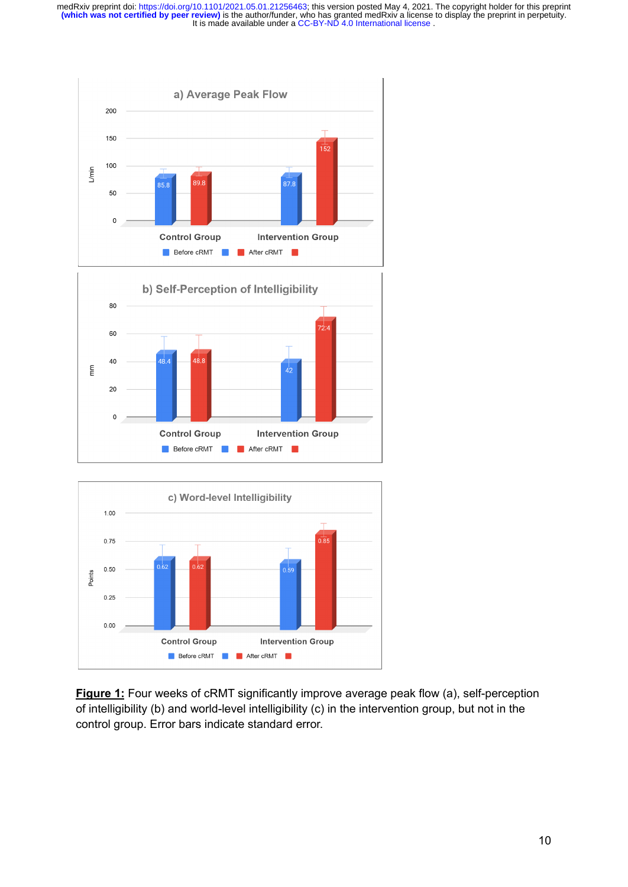It is made available under a CC-BY-ND 4.0 International license. medRxiv preprint doi: https://doi.org/10.1101/2021.05.01.21256463; this version posted May 4, 2021. The copyright holder for this preprint<br>(which was not certified by peer review) is the author/funder, who has granted medR







**Figure 1:** Four weeks of cRMT significantly improve average peak flow (a), self-perception of intelligibility (b) and world-level intelligibility (c) in the intervention group, but not in the control group. Error bars indicate standard error.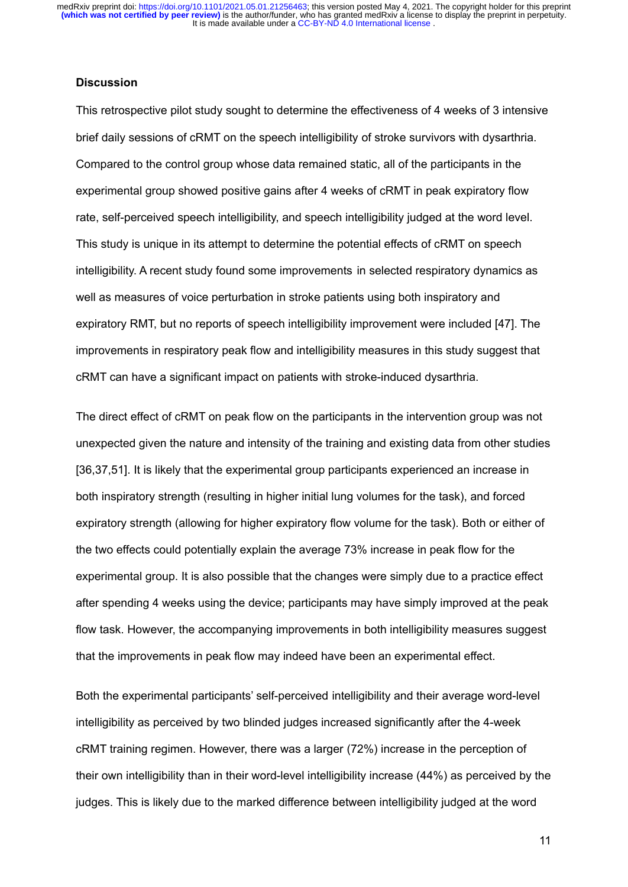It is made available under a CC-BY-ND 4.0 International license. medRxiv preprint doi: https://doi.org/10.1101/2021.05.01.21256463; this version posted May 4, 2021. The copyright holder for this preprint<br>(which was not certified by peer review) is the author/funder, who has granted medR

#### **Discussion**

This retrospective pilot study sought to determine the effectiveness of 4 weeks of 3 intensive brief daily sessions of cRMT on the speech intelligibility of stroke survivors with dysarthria. Compared to the control group whose data remained static, all of the participants in the experimental group showed positive gains after 4 weeks of cRMT in peak expiratory flow rate, self-perceived speech intelligibility, and speech intelligibility judged at the word level. This study is unique in its attempt to determine the potential effects of cRMT on speech intelligibility. A recent study found some improvements in selected respiratory dynamics as well as measures of voice perturbation in stroke patients using both inspiratory and expiratory RMT, but no reports of speech intelligibility improvement were included [47]. The improvements in respiratory peak flow and intelligibility measures in this study suggest that cRMT can have a significant impact on patients with stroke-induced dysarthria.

The direct effect of cRMT on peak flow on the participants in the intervention group was not unexpected given the nature and intensity of the training and existing data from other studies [36,37,51]. It is likely that the experimental group participants experienced an increase in both inspiratory strength (resulting in higher initial lung volumes for the task), and forced expiratory strength (allowing for higher expiratory flow volume for the task). Both or either of the two effects could potentially explain the average 73% increase in peak flow for the experimental group. It is also possible that the changes were simply due to a practice effect after spending 4 weeks using the device; participants may have simply improved at the peak flow task. However, the accompanying improvements in both intelligibility measures suggest that the improvements in peak flow may indeed have been an experimental effect.

Both the experimental participants' self-perceived intelligibility and their average word-level intelligibility as perceived by two blinded judges increased significantly after the 4-week cRMT training regimen. However, there was a larger (72%) increase in the perception of their own intelligibility than in their word-level intelligibility increase (44%) as perceived by the judges. This is likely due to the marked difference between intelligibility judged at the word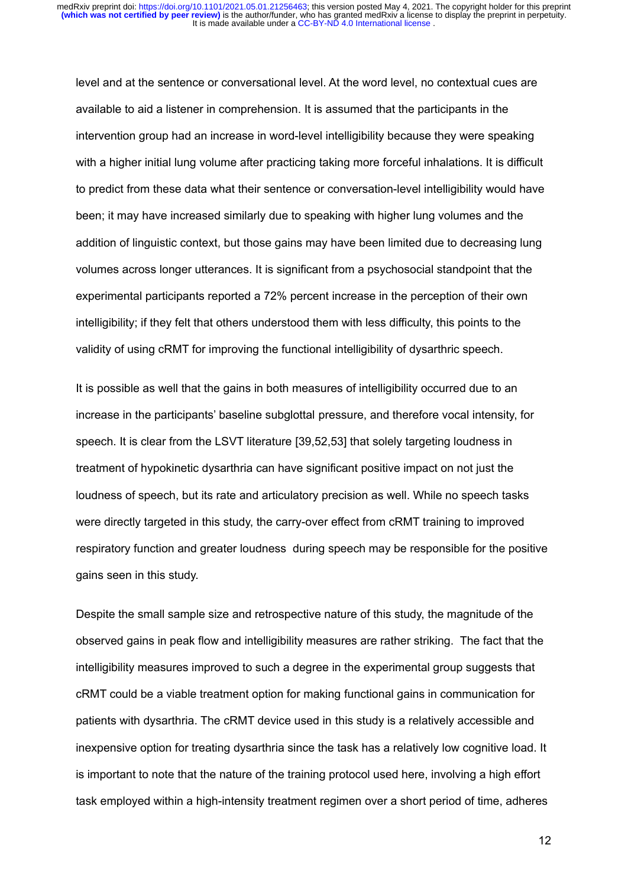level and at the sentence or conversational level. At the word level, no contextual cues are available to aid a listener in comprehension. It is assumed that the participants in the intervention group had an increase in word-level intelligibility because they were speaking with a higher initial lung volume after practicing taking more forceful inhalations. It is difficult to predict from these data what their sentence or conversation-level intelligibility would have been; it may have increased similarly due to speaking with higher lung volumes and the addition of linguistic context, but those gains may have been limited due to decreasing lung volumes across longer utterances. It is significant from a psychosocial standpoint that the experimental participants reported a 72% percent increase in the perception of their own intelligibility; if they felt that others understood them with less difficulty, this points to the validity of using cRMT for improving the functional intelligibility of dysarthric speech.

It is possible as well that the gains in both measures of intelligibility occurred due to an increase in the participants' baseline subglottal pressure, and therefore vocal intensity, for speech. It is clear from the LSVT literature [39,52,53] that solely targeting loudness in treatment of hypokinetic dysarthria can have significant positive impact on not just the loudness of speech, but its rate and articulatory precision as well. While no speech tasks were directly targeted in this study, the carry-over effect from cRMT training to improved respiratory function and greater loudness during speech may be responsible for the positive gains seen in this study.

Despite the small sample size and retrospective nature of this study, the magnitude of the observed gains in peak flow and intelligibility measures are rather striking. The fact that the intelligibility measures improved to such a degree in the experimental group suggests that cRMT could be a viable treatment option for making functional gains in communication for patients with dysarthria. The cRMT device used in this study is a relatively accessible and inexpensive option for treating dysarthria since the task has a relatively low cognitive load. It is important to note that the nature of the training protocol used here, involving a high effort task employed within a high-intensity treatment regimen over a short period of time, adheres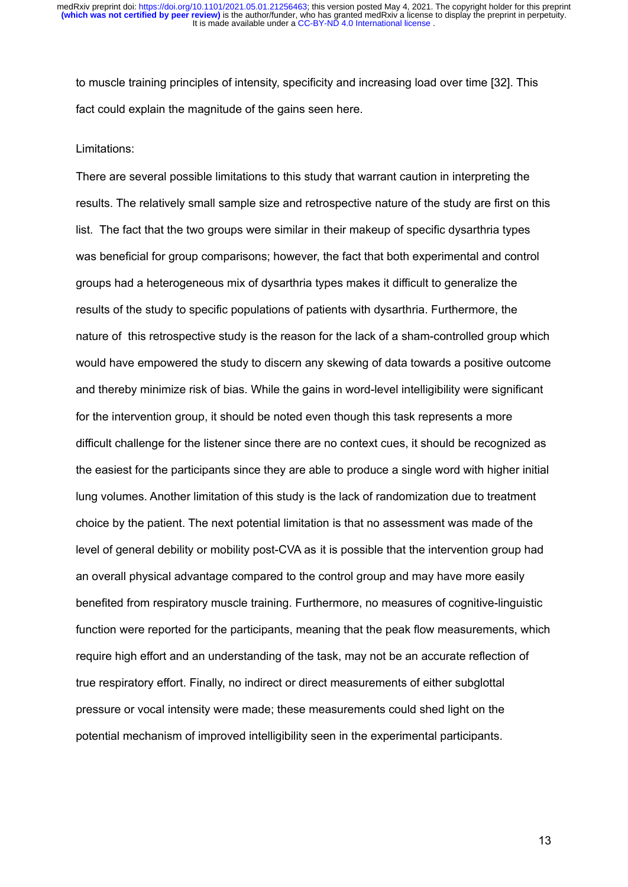to muscle training principles of intensity, specificity and increasing load over time [32]. This fact could explain the magnitude of the gains seen here.

#### Limitations:

There are several possible limitations to this study that warrant caution in interpreting the results. The relatively small sample size and retrospective nature of the study are first on this list. The fact that the two groups were similar in their makeup of specific dysarthria types was beneficial for group comparisons; however, the fact that both experimental and control groups had a heterogeneous mix of dysarthria types makes it difficult to generalize the results of the study to specific populations of patients with dysarthria. Furthermore, the nature of this retrospective study is the reason for the lack of a sham-controlled group which would have empowered the study to discern any skewing of data towards a positive outcome and thereby minimize risk of bias. While the gains in word-level intelligibility were significant for the intervention group, it should be noted even though this task represents a more difficult challenge for the listener since there are no context cues, it should be recognized as the easiest for the participants since they are able to produce a single word with higher initial lung volumes. Another limitation of this study is the lack of randomization due to treatment choice by the patient. The next potential limitation is that no assessment was made of the level of general debility or mobility post-CVA as it is possible that the intervention group had an overall physical advantage compared to the control group and may have more easily benefited from respiratory muscle training. Furthermore, no measures of cognitive-linguistic function were reported for the participants, meaning that the peak flow measurements, which require high effort and an understanding of the task, may not be an accurate reflection of true respiratory effort. Finally, no indirect or direct measurements of either subglottal pressure or vocal intensity were made; these measurements could shed light on the potential mechanism of improved intelligibility seen in the experimental participants.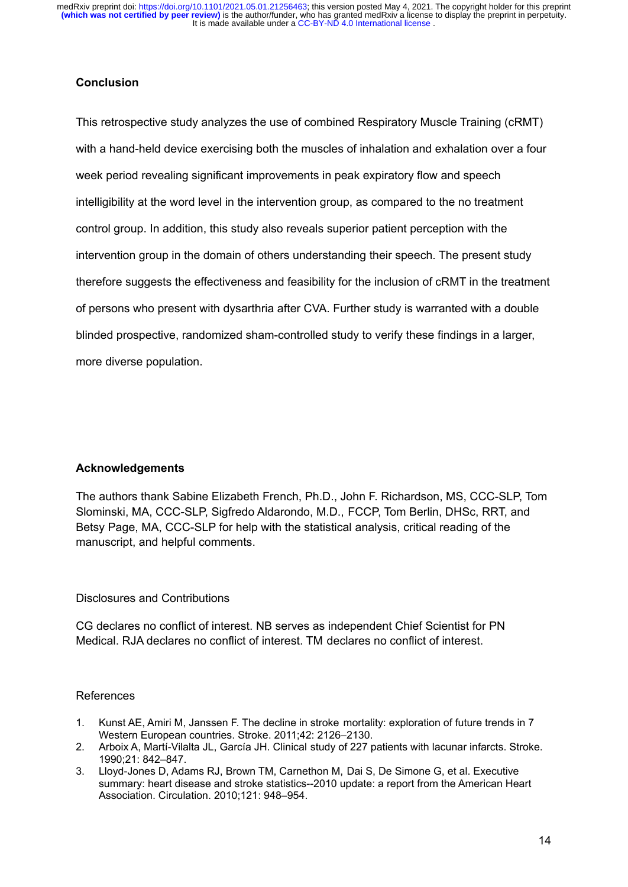It is made available under a CC-BY-ND 4.0 International license. **(which was not certified by peer review)** is the author/funder, who has granted medRxiv a license to display the preprint in perpetuity. medRxiv preprint doi: https://doi.org/10.1101/2021.05.01.21256463; this version posted May 4, 2021. The copyright holder for this preprint

# **Conclusion**

This retrospective study analyzes the use of combined Respiratory Muscle Training (cRMT) with a hand-held device exercising both the muscles of inhalation and exhalation over a four week period revealing significant improvements in peak expiratory flow and speech intelligibility at the word level in the intervention group, as compared to the no treatment control group. In addition, this study also reveals superior patient perception with the intervention group in the domain of others understanding their speech. The present study therefore suggests the effectiveness and feasibility for the inclusion of cRMT in the treatment of persons who present with dysarthria after CVA. Further study is warranted with a double blinded prospective, randomized sham-controlled study to verify these findings in a larger, more diverse population.

# **Acknowledgements**

The authors thank Sabine Elizabeth French, Ph.D., John F. Richardson, MS, CCC-SLP, Tom Slominski, MA, CCC-SLP, Sigfredo Aldarondo, M.D., FCCP, Tom Berlin, DHSc, RRT, and Betsy Page, MA, CCC-SLP for help with the statistical analysis, critical reading of the manuscript, and helpful comments.

# Disclosures and Contributions

CG declares no conflict of interest. NB serves as independent Chief Scientist for PN Medical. RJA declares no conflict of interest. TM declares no conflict of interest.

# References

- 1. Kunst AE, Amiri M, Janssen F. The decline in stroke mortality: exploration of future trends in 7 Western European countries. Stroke. 2011;42: 2126–2130.
- 2. Arboix A, Martí-Vilalta JL, García JH. Clinical study of 227 patients with lacunar infarcts. Stroke. 1990;21: 842–847.
- 3. Lloyd-Jones D, Adams RJ, Brown TM, Carnethon M, Dai S, De Simone G, et al. Executive summary: heart disease and stroke statistics--2010 update: a report from the American Heart Association. Circulation. 2010;121: 948–954.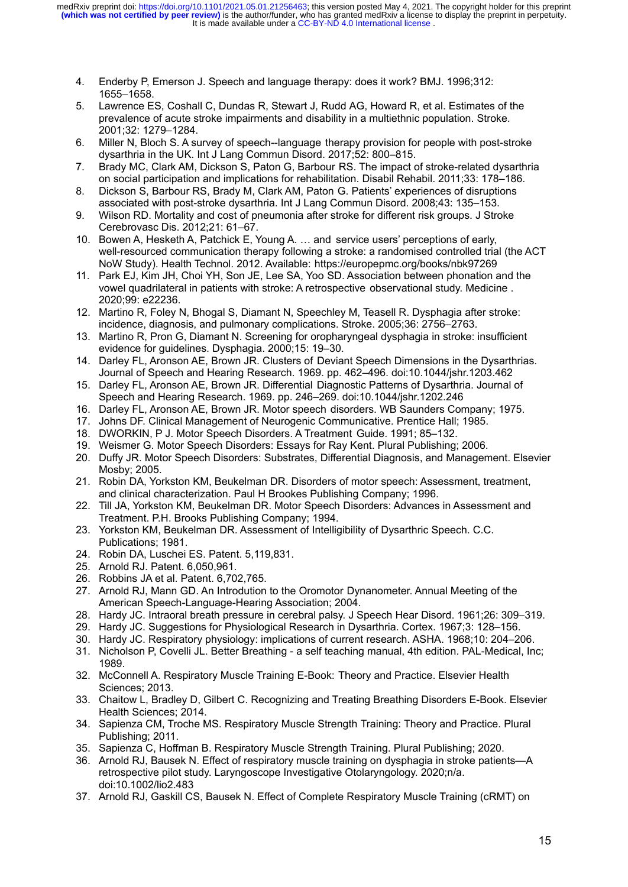- 4. Enderby P, Emerson J. Speech and language therapy: does it work? BMJ. 1996;312: 1655–1658.
- 5. Lawrence ES, Coshall C, Dundas R, Stewart J, Rudd AG, Howard R, et al. Estimates of the prevalence of acute stroke impairments and disability in a multiethnic population. Stroke. 2001;32: 1279–1284.
- 6. Miller N, Bloch S. A survey of speech--language therapy provision for people with post-stroke dysarthria in the UK. Int J Lang Commun Disord. 2017;52: 800–815.
- 7. Brady MC, Clark AM, Dickson S, Paton G, Barbour RS. The impact of stroke-related dysarthria on social participation and implications for rehabilitation. Disabil Rehabil. 2011;33: 178–186.
- 8. Dickson S, Barbour RS, Brady M, Clark AM, Paton G. Patients' experiences of disruptions associated with post-stroke dysarthria. Int J Lang Commun Disord. 2008;43: 135–153.
- 9. Wilson RD. Mortality and cost of pneumonia after stroke for different risk groups. J Stroke Cerebrovasc Dis. 2012;21: 61–67.
- 10. Bowen A, Hesketh A, Patchick E, Young A. … and service users' perceptions of early, well-resourced communication therapy following a stroke: a randomised controlled trial (the ACT NoW Study). Health Technol. 2012. Available: https://europepmc.org/books/nbk97269
- 11. Park EJ, Kim JH, Choi YH, Son JE, Lee SA, Yoo SD. Association between phonation and the vowel quadrilateral in patients with stroke: A retrospective observational study. Medicine . 2020;99: e22236.
- 12. Martino R, Foley N, Bhogal S, Diamant N, Speechley M, Teasell R. Dysphagia after stroke: incidence, diagnosis, and pulmonary complications. Stroke. 2005;36: 2756–2763.
- 13. Martino R, Pron G, Diamant N. Screening for oropharyngeal dysphagia in stroke: insufficient evidence for guidelines. Dysphagia. 2000;15: 19–30.
- 14. Darley FL, Aronson AE, Brown JR. Clusters of Deviant Speech Dimensions in the Dysarthrias. Journal of Speech and Hearing Research. 1969. pp. 462–496. doi:10.1044/jshr.1203.462
- 15. Darley FL, Aronson AE, Brown JR. Differential Diagnostic Patterns of Dysarthria. Journal of Speech and Hearing Research. 1969. pp. 246–269. doi:10.1044/jshr.1202.246
- 16. Darley FL, Aronson AE, Brown JR. Motor speech disorders. WB Saunders Company; 1975.
- 17. Johns DF. Clinical Management of Neurogenic Communicative. Prentice Hall; 1985.
- 18. DWORKIN, P J. Motor Speech Disorders. A Treatment Guide. 1991; 85–132.
- 19. Weismer G. Motor Speech Disorders: Essays for Ray Kent. Plural Publishing; 2006.
- 20. Duffy JR. Motor Speech Disorders: Substrates, Differential Diagnosis, and Management. Elsevier Mosby; 2005.
- 21. Robin DA, Yorkston KM, Beukelman DR. Disorders of motor speech: Assessment, treatment, and clinical characterization. Paul H Brookes Publishing Company; 1996.
- 22. Till JA, Yorkston KM, Beukelman DR. Motor Speech Disorders: Advances in Assessment and Treatment. P.H. Brooks Publishing Company; 1994.
- 23. Yorkston KM, Beukelman DR. Assessment of Intelligibility of Dysarthric Speech. C.C. Publications; 1981.
- 24. Robin DA, Luschei ES. Patent. 5,119,831.
- 25. Arnold RJ. Patent. 6,050,961.
- 26. Robbins JA et al. Patent. 6,702,765.
- 27. Arnold RJ, Mann GD. An Introdution to the Oromotor Dynanometer. Annual Meeting of the American Speech-Language-Hearing Association; 2004.
- 28. Hardy JC. Intraoral breath pressure in cerebral palsy. J Speech Hear Disord. 1961;26: 309–319.
- 29. Hardy JC. Suggestions for Physiological Research in Dysarthria. Cortex. 1967;3: 128–156.
- 30. Hardy JC. Respiratory physiology: implications of current research. ASHA. 1968;10: 204–206.
- 31. Nicholson P, Covelli JL. Better Breathing a self teaching manual, 4th edition. PAL-Medical, Inc; 1989.
- 32. McConnell A. Respiratory Muscle Training E-Book: Theory and Practice. Elsevier Health Sciences; 2013.
- 33. Chaitow L, Bradley D, Gilbert C. Recognizing and Treating Breathing Disorders E-Book. Elsevier Health Sciences; 2014.
- 34. Sapienza CM, Troche MS. Respiratory Muscle Strength Training: Theory and Practice. Plural Publishing; 2011.
- 35. Sapienza C, Hoffman B. Respiratory Muscle Strength Training. Plural Publishing; 2020.
- 36. Arnold RJ, Bausek N. Effect of respiratory muscle training on dysphagia in stroke patients—A retrospective pilot study. Laryngoscope Investigative Otolaryngology. 2020;n/a. doi:10.1002/lio2.483
- 37. Arnold RJ, Gaskill CS, Bausek N. Effect of Complete Respiratory Muscle Training (cRMT) on